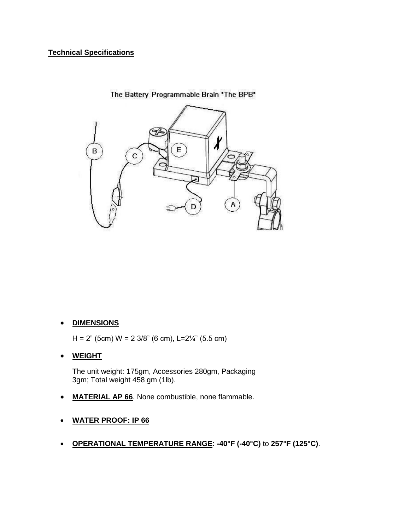## **Technical Specifications**



The Battery Programmable Brain "The BPB"

## **DIMENSIONS**

H = 2" (5cm) W = 2 3/8" (6 cm), L=2 $\frac{1}{4}$ " (5.5 cm)

## **WEIGHT**

The unit weight: 175gm, Accessories 280gm, Packaging 3gm; Total weight 458 gm (1lb).

- **MATERIAL AP 66**. None combustible, none flammable.
- **WATER PROOF: IP 66**
- **OPERATIONAL TEMPERATURE RANGE**: **-40°F (-40°C)** to **257°F (125°C)**.